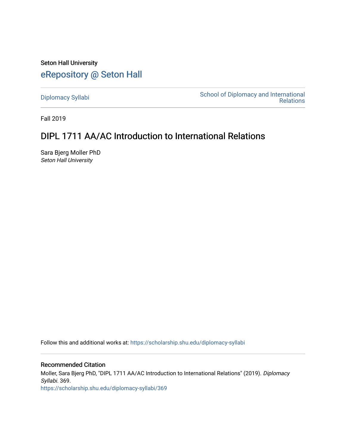Seton Hall University [eRepository @ Seton Hall](https://scholarship.shu.edu/)

[Diplomacy Syllabi](https://scholarship.shu.edu/diplomacy-syllabi) [School of Diplomacy and International](https://scholarship.shu.edu/diplomacy)  [Relations](https://scholarship.shu.edu/diplomacy) 

Fall 2019

## DIPL 1711 AA/AC Introduction to International Relations

Sara Bjerg Moller PhD Seton Hall University

Follow this and additional works at: [https://scholarship.shu.edu/diplomacy-syllabi](https://scholarship.shu.edu/diplomacy-syllabi?utm_source=scholarship.shu.edu%2Fdiplomacy-syllabi%2F369&utm_medium=PDF&utm_campaign=PDFCoverPages) 

Recommended Citation Moller, Sara Bjerg PhD, "DIPL 1711 AA/AC Introduction to International Relations" (2019). Diplomacy Syllabi. 369.

[https://scholarship.shu.edu/diplomacy-syllabi/369](https://scholarship.shu.edu/diplomacy-syllabi/369?utm_source=scholarship.shu.edu%2Fdiplomacy-syllabi%2F369&utm_medium=PDF&utm_campaign=PDFCoverPages)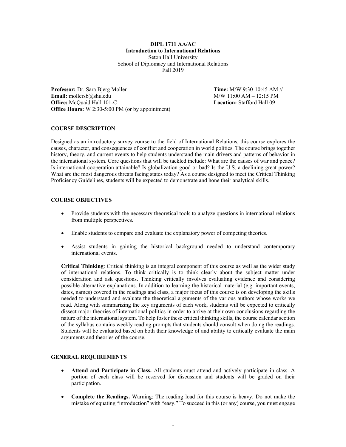**DIPL 1711 AA/AC Introduction to International Relations** Seton Hall University School of Diplomacy and International Relations Fall 2019

**Professor:** Dr. Sara Bjerg Moller **Time:** M/W 9:30-10:45 AM // **Email:** mollersb@shu.edu M/W 11:00 AM – 12:15 PM **Office:** McQuaid Hall 101-C **Location:** Stafford Hall 09 **Office Hours:** W 2:30-5:00 PM (or by appointment)

## **COURSE DESCRIPTION**

Designed as an introductory survey course to the field of International Relations, this course explores the causes, character, and consequences of conflict and cooperation in world politics. The course brings together history, theory, and current events to help students understand the main drivers and patterns of behavior in the international system. Core questions that will be tackled include: What are the causes of war and peace? Is international cooperation attainable? Is globalization good or bad? Is the U.S. a declining great power? What are the most dangerous threats facing states today? As a course designed to meet the Critical Thinking Proficiency Guidelines, students will be expected to demonstrate and hone their analytical skills.

#### **COURSE OBJECTIVES**

- Provide students with the necessary theoretical tools to analyze questions in international relations from multiple perspectives.
- Enable students to compare and evaluate the explanatory power of competing theories.
- Assist students in gaining the historical background needed to understand contemporary international events.

**Critical Thinking**: Critical thinking is an integral component of this course as well as the wider study of international relations. To think critically is to think clearly about the subject matter under consideration and ask questions. Thinking critically involves evaluating evidence and considering possible alternative explanations. In addition to learning the historical material (e.g. important events, dates, names) covered in the readings and class, a major focus of this course is on developing the skills needed to understand and evaluate the theoretical arguments of the various authors whose works we read. Along with summarizing the key arguments of each work, students will be expected to critically dissect major theories of international politics in order to arrive at their own conclusions regarding the nature of the international system. To help foster these critical thinking skills, the course calendar section of the syllabus contains weekly reading prompts that students should consult when doing the readings. Students will be evaluated based on both their knowledge of and ability to critically evaluate the main arguments and theories of the course.

## **GENERAL REQUIREMENTS**

- **Attend and Participate in Class.** All students must attend and actively participate in class. A portion of each class will be reserved for discussion and students will be graded on their participation.
- **Complete the Readings.** Warning: The reading load for this course is heavy. Do not make the mistake of equating "introduction" with "easy." To succeed in this (or any) course, you must engage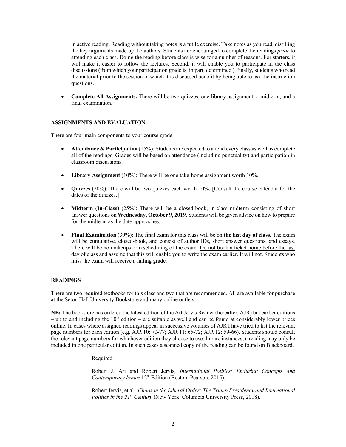in active reading. Reading without taking notes is a futile exercise. Take notes as you read, distilling the key arguments made by the authors. Students are encouraged to complete the readings *prior* to attending each class. Doing the reading before class is wise for a number of reasons. For starters, it will make it easier to follow the lectures. Second, it will enable you to participate in the class discussions (from which your participation grade is, in part, determined.) Finally, students who read the material prior to the session in which it is discussed benefit by being able to ask the instruction questions.

• **Complete All Assignments.** There will be two quizzes, one library assignment, a midterm, and a final examination.

## **ASSIGNMENTS AND EVALUATION**

There are four main components to your course grade.

- **Attendance & Participation** (15%): Students are expected to attend every class as well as complete all of the readings. Grades will be based on attendance (including punctuality) and participation in classroom discussions.
- **Library Assignment** (10%): There will be one take-home assignment worth 10%.
- **Quizzes** (20%): There will be two quizzes each worth 10%. [Consult the course calendar for the dates of the quizzes.]
- **Midterm (In-Class)** (25%): There will be a closed-book, in-class midterm consisting of short answer questions on **Wednesday, October 9, 2019**. Students will be given advice on how to prepare for the midterm as the date approaches.
- **Final Examination** (30%): The final exam for this class will be on **the last day of class.** The exam will be cumulative, closed-book, and consist of author IDs, short answer questions, and essays. There will be no makeups or rescheduling of the exam. Do not book a ticket home before the last day of class and assume that this will enable you to write the exam earlier. It will not. Students who miss the exam will receive a failing grade.

#### **READINGS**

There are two required textbooks for this class and two that are recommended. All are available for purchase at the Seton Hall University Bookstore and many online outlets.

**NB:** The bookstore has ordered the latest edition of the Art Jervis Reader (hereafter, AJR) but earlier editions – up to and including the  $10<sup>th</sup>$  edition – are suitable as well and can be found at considerably lower prices online. In cases where assigned readings appear in successive volumes of AJR I have tried to list the relevant page numbers for each edition (e.g. AJR 10: 70-77; AJR 11: 65-72; AJR 12: 59-66). Students should consult the relevant page numbers for whichever edition they choose to use. In rare instances, a reading may only be included in one particular edition. In such cases a scanned copy of the reading can be found on Blackboard.

Required:

Robert J. Art and Robert Jervis, *International Politics: Enduring Concepts and Contemporary Issues* 12<sup>th</sup> Edition (Boston: Pearson, 2015).

Robert Jervis, et al., *Chaos in the Liberal Order: The Trump Presidency and International Politics in the 21st Century* (New York: Columbia University Press, 2018).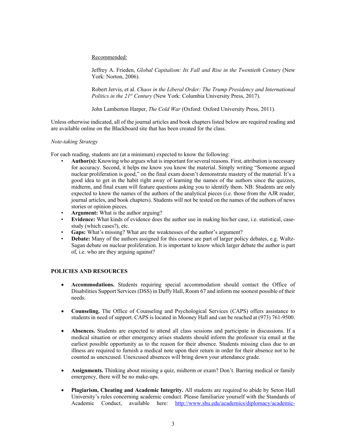Recommended:

Jeffrey A. Frieden, *Global Capitalism: Its Fall and Rise in the Twentieth Century* (New York: Norton, 2006).

Robert Jervis, et al. *Chaos in the Liberal Order: The Trump Presidency and International Politics in the 21st Century* (New York: Columbia University Press, 2017).

John Lamberton Harper, *The Cold War* (Oxford: Oxford University Press, 2011).

Unless otherwise indicated, all of the journal articles and book chapters listed below are required reading and are available online on the Blackboard site that has been created for the class.

#### *Note-taking Strategy*

For each reading, students are (at a minimum) expected to know the following:

- **Author(s):** Knowing who argues what is important for several reasons. First, attribution is necessary for accuracy. Second, it helps me know you know the material. Simply writing "Someone argued nuclear proliferation is good," on the final exam doesn't demonstrate mastery of the material. It's a good idea to get in the habit right away of learning the names of the authors since the quizzes, midterm, and final exam will feature questions asking you to identify them. NB: Students are only expected to know the names of the authors of the analytical pieces (i.e. those from the AJR reader, journal articles, and book chapters). Students will not be tested on the names of the authors of news stories or opinion pieces.
- **Argument:** What is the author arguing?
- **Evidence:** What kinds of evidence does the author use in making his/her case, i.e. statistical, casestudy (which cases?), etc.
- **Gaps:** What's missing? What are the weaknesses of the author's argument?
- **Debate:** Many of the authors assigned for this course are part of larger policy debates, e.g. Waltz-Sagan debate on nuclear proliferation. It is important to know which larger debate the author is part of, i.e. who are they arguing against?

#### **POLICIES AND RESOURCES**

- **Accommodations.** Students requiring special accommodation should contact the Office of Disabilities Support Services (DSS) in Duffy Hall, Room 67 and inform me soonest possible of their needs.
- **Counseling.** The Office of Counseling and Psychological Services (CAPS) offers assistance to students in need of support. CAPS is located in Mooney Hall and can be reached at (973) 761-9500.
- **Absences.** Students are expected to attend all class sessions and participate in discussions. If a medical situation or other emergency arises students should inform the professor via email at the earliest possible opportunity as to the reason for their absence. Students missing class due to an illness are required to furnish a medical note upon their return in order for their absence not to be counted as unexcused. Unexcused absences will bring down your attendance grade.
- **Assignments.** Thinking about missing a quiz, midterm or exam? Don't. Barring medical or family emergency, there will be no make-ups.
- **Plagiarism, Cheating and Academic Integrity.** All students are required to abide by Seton Hall University's rules concerning academic conduct. Please familiarize yourself with the Standards of Academic Conduct, available here: http://www.shu.edu/academics/diplomacy/academic-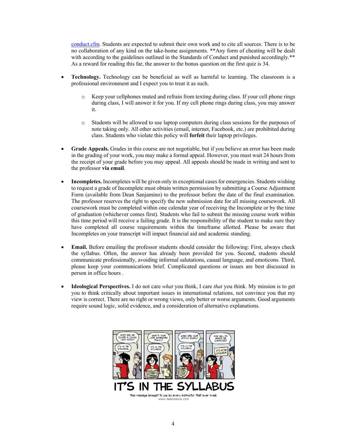conduct.cfm. Students are expected to submit their own work and to cite all sources. There is to be no collaboration of any kind on the take-home assignments. \*\*Any form of cheating will be dealt with according to the guidelines outlined in the Standards of Conduct and punished accordingly.\*\* As a reward for reading this far, the answer to the bonus question on the first quiz is 34.

- **Technology.** Technology can be beneficial as well as harmful to learning. The classroom is a professional environment and I expect you to treat it as such.
	- o Keep your cellphones muted and refrain from texting during class. If your cell phone rings during class, I will answer it for you. If my cell phone rings during class, you may answer it.
	- o Students will be allowed to use laptop computers during class sessions for the purposes of note taking only. All other activities (email, internet, Facebook, etc.) are prohibited during class. Students who violate this policy will **forfeit** their laptop privileges.
- **Grade Appeals.** Grades in this course are not negotiable, but if you believe an error has been made in the grading of your work, you may make a formal appeal. However, you must wait 24 hours from the receipt of your grade before you may appeal. All appeals should be made in writing and sent to the professor **via email**.
- **Incompletes.** Incompletes will be given only in exceptional cases for emergencies. Students wishing to request a grade of Incomplete must obtain written permission by submitting a Course Adjustment Form (available from Dean Sanjamino) to the professor before the date of the final examination. The professor reserves the right to specify the new submission date for all missing coursework. All coursework must be completed within one calendar year of receiving the Incomplete or by the time of graduation (whichever comes first). Students who fail to submit the missing course work within this time period will receive a failing grade. It is the responsibility of the student to make sure they have completed all course requirements within the timeframe allotted. Please be aware that Incompletes on your transcript will impact financial aid and academic standing.
- **Email.** Before emailing the professor students should consider the following: First, always check the syllabus. Often, the answer has already been provided for you. Second, students should communicate professionally, avoiding informal salutations, casual language, and emoticons. Third, please keep your communications brief. Complicated questions or issues are best discussed in person in office hours .
- **Ideological Perspectives.** I do not care *what* you think, I care *that* you think. My mission is to get you to think critically about important issues in international relations, not convince you that my view is correct. There are no right or wrong views, only better or worse arguments. Good arguments require sound logic, solid evidence, and a consideration of alternative explanations.

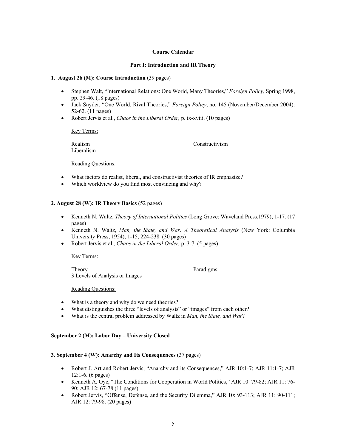## **Course Calendar**

## **Part I: Introduction and IR Theory**

#### **1. August 26 (M): Course Introduction** (39 pages)

- Stephen Walt, "International Relations: One World, Many Theories," *Foreign Policy*, Spring 1998, pp. 29-46. (18 pages)
- Jack Snyder, "One World, Rival Theories," *Foreign Policy*, no. 145 (November/December 2004): 52-62. (11 pages)
- Robert Jervis et al., *Chaos in the Liberal Order,* p. ix-xviii. (10 pages)

Key Terms:

Liberalism

Realism Constructivism

Reading Questions:

- What factors do realist, liberal, and constructivist theories of IR emphasize?
- Which worldview do you find most convincing and why?

## **2. August 28 (W): IR Theory Basics** (52 pages)

- Kenneth N. Waltz, *Theory of International Politics* (Long Grove: Waveland Press,1979), 1-17. (17 pages)
- Kenneth N. Waltz, *Man, the State, and War: A Theoretical Analysis* (New York: Columbia University Press, 1954), 1-15, 224-238. (30 pages)
- Robert Jervis et al., *Chaos in the Liberal Order,* p. 3-7. (5 pages)

#### Key Terms:

Theory Paradigms 3 Levels of Analysis or Images

Reading Questions:

- What is a theory and why do we need theories?
- What distinguishes the three "levels of analysis" or "images" from each other?
- What is the central problem addressed by Waltz in *Man, the State, and War*?

## **September 2 (M): Labor Day – University Closed**

#### **3. September 4 (W): Anarchy and Its Consequences** (37 pages)

- Robert J. Art and Robert Jervis, "Anarchy and its Consequences," AJR 10:1-7; AJR 11:1-7; AJR 12:1-6. (6 pages)
- Kenneth A. Oye, "The Conditions for Cooperation in World Politics," AJR 10: 79-82; AJR 11: 76- 90; AJR 12: 67-78 (11 pages)
- Robert Jervis, "Offense, Defense, and the Security Dilemma," AJR 10: 93-113; AJR 11: 90-111; AJR 12: 79-98. (20 pages)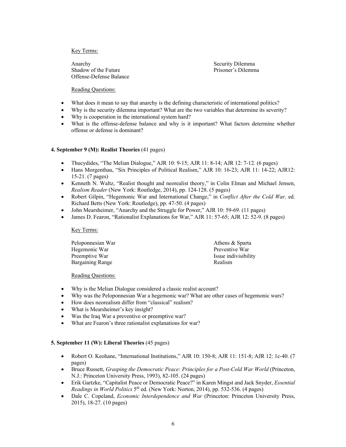Anarchy Security Dilemma Anarchy Shadow of the Future **Prisoner's Dilemma** Offense-Defense Balance

## Reading Questions:

- What does it mean to say that anarchy is the defining characteristic of international politics?
- Why is the security dilemma important? What are the two variables that determine its severity?
- Why is cooperation in the international system hard?
- What is the offense-defense balance and why is it important? What factors determine whether offense or defense is dominant?

## **4. September 9 (M): Realist Theories** (41 pages)

- Thucydides, "The Melian Dialogue," AJR 10: 9-15; AJR 11: 8-14; AJR 12: 7-12. (6 pages)
- Hans Morgenthau, "Six Principles of Political Realism," AJR 10: 16-23; AJR 11: 14-22; AJR12: 15-21. (7 pages)
- Kenneth N. Waltz, "Realist thought and neorealist theory," in Colin Elman and Michael Jensen, *Realism Reader* (New York: Routledge, 2014), pp. 124-128. (5 pages)
- Robert Gilpin, "Hegemonic War and International Change," in *Conflict After the Cold War,* ed. Richard Betts (New York: Routledge), pp. 47-50. (4 pages)
- John Mearsheimer, "Anarchy and the Struggle for Power," AJR 10: 59-69. (11 pages)
- James D. Fearon, "Rationalist Explanations for War," AJR 11: 57-65; AJR 12: 52-9. (8 pages)

#### Key Terms:

| Athens & Sparta      |
|----------------------|
| Preventive War       |
| Issue indivisibility |
| Realism              |
|                      |

#### Reading Questions:

- Why is the Melian Dialogue considered a classic realist account?
- Why was the Peloponnesian War a hegemonic war? What are other cases of hegemonic wars?
- How does neorealism differ from "classical" realism?
- What is Mearsheimer's key insight?
- Was the Iraq War a preventive or preemptive war?
- What are Fearon's three rationalist explanations for war?

#### **5. September 11 (W): Liberal Theories** (45 pages)

- Robert O. Keohane, "International Institutions," AJR 10: 150-8; AJR 11: 151-8; AJR 12: 1c-40. (7 pages)
- Bruce Russett, *Grasping the Democratic Peace: Principles for a Post-Cold War World* (Princeton, N.J.: Princeton University Press, 1993), 82-105. (24 pages)
- Erik Gartzke, "Capitalist Peace or Democratic Peace?" in Karen Mingst and Jack Snyder, *Essential Readings in World Politics* 5<sup>th</sup> ed. (New York: Norton, 2014), pp. 532-536. (4 pages)
- Dale C. Copeland, *Economic Interdependence and War* (Princeton: Princeton University Press, 2015), 18-27. (10 pages)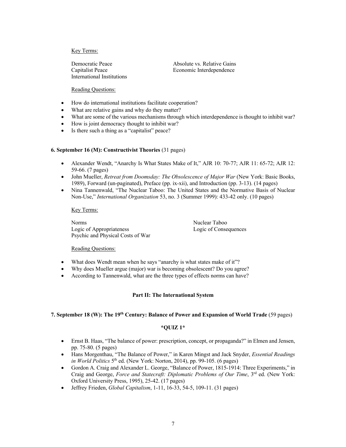International Institutions

Democratic Peace Absolute vs. Relative Gains Capitalist Peace Economic Interdependence

## Reading Questions:

- How do international institutions facilitate cooperation?
- What are relative gains and why do they matter?
- What are some of the various mechanisms through which interdependence is thought to inhibit war?
- How is joint democracy thought to inhibit war?
- Is there such a thing as a "capitalist" peace?

## **6. September 16 (M): Constructivist Theories** (31 pages)

- Alexander Wendt, "Anarchy Is What States Make of It," AJR 10: 70-77; AJR 11: 65-72; AJR 12: 59-66. (7 pages)
- John Mueller, *Retreat from Doomsday: The Obsolescence of Major War* (New York: Basic Books, 1989), Forward (un-paginated), Preface (pp. ix-xii), and Introduction (pp. 3-13). (14 pages)
- Nina Tannenwald, "The Nuclear Taboo: The United States and the Normative Basis of Nuclear Non-Use," *International Organization* 53, no. 3 (Summer 1999): 433-42 only. (10 pages)

#### Key Terms:

Norms Nuclear Taboo Logic of Appropriateness Logic of Consequences Psychic and Physical Costs of War

## Reading Questions:

- What does Wendt mean when he says "anarchy is what states make of it"?
- Why does Mueller argue (major) war is becoming obsolescent? Do you agree?
- According to Tannenwald, what are the three types of effects norms can have?

## **Part II: The International System**

#### **7. September 18 (W): The 19th Century: Balance of Power and Expansion of World Trade** (59 pages)

#### **\*QUIZ 1\***

- Ernst B. Haas, "The balance of power: prescription, concept, or propaganda?" in Elmen and Jensen, pp. 75-80. (5 pages)
- Hans Morgenthau, "The Balance of Power," in Karen Mingst and Jack Snyder, *Essential Readings in World Politics* 5th ed. (New York: Norton, 2014), pp. 99-105. (6 pages)
- Gordon A. Craig and Alexander L. George, "Balance of Power, 1815-1914: Three Experiments," in Craig and George, *Force and Statecraft: Diplomatic Problems of Our Time*, 3rd ed. (New York: Oxford University Press, 1995), 25-42. (17 pages)
- Jeffrey Frieden, *Global Capitalism*, 1-11, 16-33, 54-5, 109-11. (31 pages)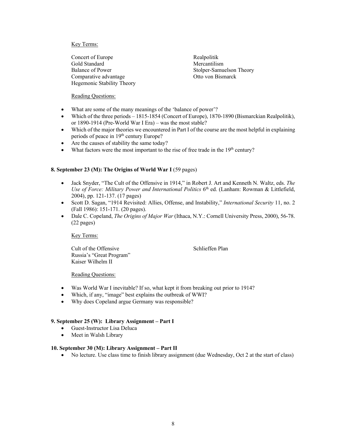Concert of Europe Realpolitik Gold Standard Mercantilism Balance of Power Stolper-Samuelson Theory Comparative advantage Otto von Bismarck Hegemonic Stability Theory

## Reading Questions:

- What are some of the many meanings of the 'balance of power'?
- Which of the three periods 1815-1854 (Concert of Europe), 1870-1890 (Bismarckian Realpolitik), or 1890-1914 (Pre-World War I Era) – was the most stable?
- Which of the major theories we encountered in Part I of the course are the most helpful in explaining periods of peace in 19<sup>th</sup> century Europe?
- Are the causes of stability the same today?
- What factors were the most important to the rise of free trade in the  $19<sup>th</sup>$  century?

## **8. September 23 (M): The Origins of World War I** (59 pages)

- Jack Snyder, "The Cult of the Offensive in 1914," in Robert J. Art and Kenneth N. Waltz, eds. *The Use of Force: Military Power and International Politics* 6<sup>th</sup> ed. (Lanham: Rowman & Littlefield, 2004), pp. 121-137. (17 pages)
- Scott D. Sagan, "1914 Revisited: Allies, Offense, and Instability," *International Security* 11, no. 2 (Fall 1986): 151-171. (20 pages).
- Dale C. Copeland, *The Origins of Major War* (Ithaca, N.Y.: Cornell University Press, 2000), 56-78. (22 pages)

Key Terms:

Cult of the Offensive Schlieffen Plan Russia's "Great Program" Kaiser Wilhelm II

## Reading Questions:

- Was World War I inevitable? If so, what kept it from breaking out prior to 1914?
- Which, if any, "image" best explains the outbreak of WWI?
- Why does Copeland argue Germany was responsible?

## **9. September 25 (W): Library Assignment – Part I**

- Guest-Instructor Lisa Deluca
- Meet in Walsh Library

#### **10. September 30 (M): Library Assignment – Part II**

• No lecture. Use class time to finish library assignment (due Wednesday, Oct 2 at the start of class)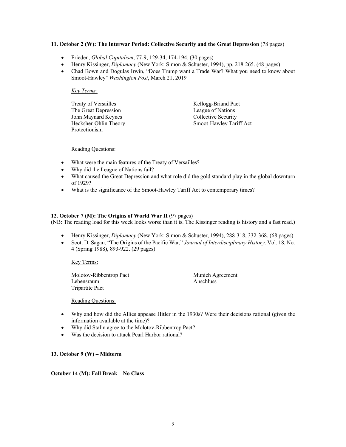## **11. October 2 (W): The Interwar Period: Collective Security and the Great Depression** (78 pages)

- Frieden, *Global Capitalism*, 77-9, 129-34, 174-194. (30 pages)
- Henry Kissinger, *Diplomacy* (New York: Simon & Schuster, 1994), pp. 218-265. (48 pages)
- Chad Bown and Dogulas Irwin, "Does Trump want a Trade War? What you need to know about Smoot-Hawley" *Washington Post*, March 21, 2019

#### *Key Terms:*

| Treaty of Versailles  | Kellogg-Briand Pact     |
|-----------------------|-------------------------|
| The Great Depression  | League of Nations       |
| John Maynard Keynes   | Collective Security     |
| Hecksher-Ohlin Theory | Smoot-Hawley Tariff Act |
| Protectionism         |                         |

Reading Questions:

- What were the main features of the Treaty of Versailles?
- Why did the League of Nations fail?
- What caused the Great Depression and what role did the gold standard play in the global downturn of 1929?
- What is the significance of the Smoot-Hawley Tariff Act to contemporary times?

## **12. October 7 (M): The Origins of World War II** (97 pages)

(NB: The reading load for this week looks worse than it is. The Kissinger reading is history and a fast read.)

- Henry Kissinger, *Diplomacy* (New York: Simon & Schuster, 1994), 288-318, 332-368. (68 pages)
- Scott D. Sagan, "The Origins of the Pacific War," *Journal of Interdisciplinary History,* Vol. 18, No. 4 (Spring 1988), 893-922. (29 pages)

Key Terms:

Molotov-Ribbentrop Pact Munich Agreement Lebensraum Anschluss Tripartite Pact

Reading Questions:

- Why and how did the Allies appease Hitler in the 1930s? Were their decisions rational (given the information available at the time)?
- Why did Stalin agree to the Molotov-Ribbentrop Pact?
- Was the decision to attack Pearl Harbor rational?

## **13. October 9 (W) – Midterm**

#### **October 14 (M): Fall Break – No Class**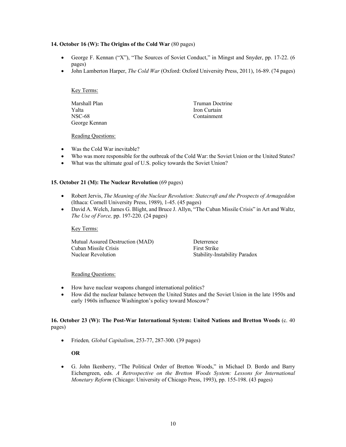## **14. October 16 (W): The Origins of the Cold War** (80 pages)

- George F. Kennan ("X"), "The Sources of Soviet Conduct," in Mingst and Snyder, pp. 17-22. (6) pages)
- John Lamberton Harper, *The Cold War* (Oxford: Oxford University Press, 2011), 16-89. (74 pages)

#### Key Terms:

Marshall Plan Truman Doctrine Yalta Iron Curtain NSC-68 Containment George Kennan

Reading Questions:

- Was the Cold War inevitable?
- Who was more responsible for the outbreak of the Cold War: the Soviet Union or the United States?
- What was the ultimate goal of U.S. policy towards the Soviet Union?

## **15. October 21 (M): The Nuclear Revolution** (69 pages)

- Robert Jervis, *The Meaning of the Nuclear Revolution: Statecraft and the Prospects of Armageddon*  (Ithaca: Cornell University Press, 1989), 1-45. (45 pages)
- David A. Welch, James G. Blight, and Bruce J. Allyn, "The Cuban Missile Crisis" in Art and Waltz, *The Use of Force,* pp. 197-220. (24 pages)

#### Key Terms:

Mutual Assured Destruction (MAD) Deterrence Cuban Missile Crisis First Strike Nuclear Revolution Stability-Instability Paradox

#### Reading Questions:

- How have nuclear weapons changed international politics?
- How did the nuclear balance between the United States and the Soviet Union in the late 1950s and early 1960s influence Washington's policy toward Moscow?

## **16. October 23 (W): The Post-War International System: United Nations and Bretton Woods** (c. 40 pages)

• Frieden*, Global Capitalism*, 253-77, 287-300. (39 pages)

#### **OR**

• G. John Ikenberry, "The Political Order of Bretton Woods," in Michael D. Bordo and Barry Eichengreen, eds. *A Retrospective on the Bretton Woods System: Lessons for International Monetary Reform* (Chicago: University of Chicago Press, 1993), pp. 155-198. (43 pages)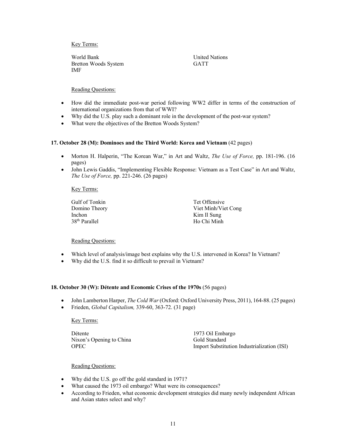World Bank United Nations Bretton Woods System GATT IMF

Reading Questions:

- How did the immediate post-war period following WW2 differ in terms of the construction of international organizations from that of WWI?
- Why did the U.S. play such a dominant role in the development of the post-war system?
- What were the objectives of the Bretton Woods System?

## **17. October 28 (M): Dominoes and the Third World: Korea and Vietnam** (42 pages)

- Morton H. Halperin, "The Korean War," in Art and Waltz, *The Use of Force,* pp. 181-196. (16 pages)
- John Lewis Gaddis, "Implementing Flexible Response: Vietnam as a Test Case" in Art and Waltz, *The Use of Force,* pp. 221-246. (26 pages)

## Key Terms:

Gulf of Tonkin Tet Offensive Inchon Kim Il Sung 38<sup>th</sup> Parallel Ho Chi Minh

Domino Theory Viet Minh/Viet Cong

## Reading Questions:

- Which level of analysis/image best explains why the U.S. intervened in Korea? In Vietnam?
- Why did the U.S. find it so difficult to prevail in Vietnam?

## **18. October 30 (W): Détente and Economic Crises of the 1970s** (56 pages)

- John Lamberton Harper, *The Cold War* (Oxford: Oxford University Press, 2011), 164-88. (25 pages)
- Frieden, *Global Capitalism,* 339-60, 363-72. (31 page)

## Key Terms:

Détente 1973 Oil Embargo Nixon's Opening to China Gold Standard

OPEC **Import Substitution Industrialization (ISI)** 

- Why did the U.S. go off the gold standard in 1971?
- What caused the 1973 oil embargo? What were its consequences?
- According to Frieden, what economic development strategies did many newly independent African and Asian states select and why?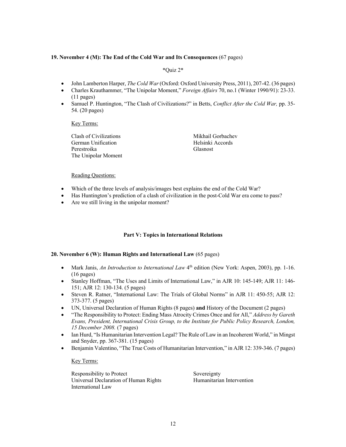## **19. November 4 (M): The End of the Cold War and Its Consequences** (67 pages)

#### \*Quiz 2\*

- John Lamberton Harper, *The Cold War* (Oxford: Oxford University Press, 2011), 207-42. (36 pages)
- Charles Krauthammer, "The Unipolar Moment," *Foreign Affairs* 70, no.1 (Winter 1990/91): 23-33. (11 pages)
- Samuel P. Huntington, "The Clash of Civilizations?" in Betts, *Conflict After the Cold War,* pp. 35- 54. (20 pages)

#### Key Terms:

Clash of Civilizations Mikhail Gorbachev German Unification **Helsinki** Accords Perestroika Glasnost The Unipolar Moment

#### Reading Questions:

- Which of the three levels of analysis/images best explains the end of the Cold War?
- Has Huntington's prediction of a clash of civilization in the post-Cold War era come to pass?
- Are we still living in the unipolar moment?

## **Part V: Topics in International Relations**

#### **20. November 6 (W): Human Rights and International Law** (65 pages)

- Mark Janis, *An Introduction to International Law* 4<sup>th</sup> edition (New York: Aspen, 2003), pp. 1-16. (16 pages)
- Stanley Hoffman, "The Uses and Limits of International Law," in AJR 10: 145-149; AJR 11: 146- 151; AJR 12: 130-134. (5 pages)
- Steven R. Ratner, "International Law: The Trials of Global Norms" in AJR 11: 450-55; AJR 12: 373-377. (5 pages)
- UN, Universal Declaration of Human Rights (8 pages) **and** History of the Document (2 pages)
- "The Responsibility to Protect: Ending Mass Atrocity Crimes Once and for All," *Address by Gareth Evans, President, International Crisis Group, to the Institute for Public Policy Research, London, 15 December 2008.* (7 pages)
- Ian Hurd, "Is Humanitarian Intervention Legal? The Rule of Law in an Incoherent World," in Mingst and Snyder, pp. 367-381. (15 pages)
- Benjamin Valentino, "The True Costs of Humanitarian Intervention," in AJR 12: 339-346. (7 pages)

#### Key Terms:

Responsibility to Protect Sovereignty Universal Declaration of Human Rights Humanitarian Intervention International Law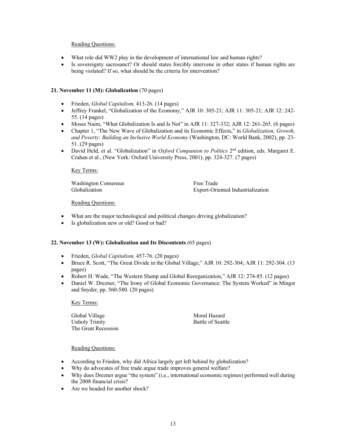## Reading Questions:

- What role did WW2 play in the development of international law and human rights?
- Is sovereignty sacrosanct? Or should states forcibly intervene in other states if human rights are being violated? If so, what should be the criteria for intervention?

## **21. November 11 (M): Globalization** (70 pages)

- Frieden, *Global Capitalism,* 413-26. (14 pages)
- Jeffrey Frankel, "Globalization of the Economy," AJR 10: 305-21; AJR 11: 305-21; AJR 12: 242- 55. (14 pages)
- Moses Naim, "What Globalization Is and Is Not" in AJR 11: 327-332; AJR 12: 261-265. (6 pages)
- Chapter 1, "The New Wave of Globalization and its Economic Effects," in *Globalization, Growth, and Poverty: Building an Inclusive World Economy* (Washington, DC: World Bank, 2002), pp. 23- 51. (29 pages)
- David Held, et al. "Globalization" in *Oxford Companion to Politics* 2<sup>nd</sup> edition, eds. Margaret E. Crahan et al., (New York: Oxford University Press, 2001), pp. 324-327. (7 pages)

#### Key Terms:

Washington Consensus<br>
Globalization Fxport-Oriented Export-Oriented Export-Oriented Export-Oriented Export-Oriented Export-Oriented S Export-Oriented Industrialization

## Reading Questions:

- What are the major technological and political changes driving globalization?
- Is globalization new or old? Good or bad?

#### **22. November 13 (W): Globalization and Its Discontents** (65 pages)

- Frieden, *Global Capitalism,* 457-76. (20 pages)
- Bruce R. Scott, "The Great Divide in the Global Village," AJR 10: 292-304; AJR 11: 292-304. (13 pages)
- Robert H. Wade, "The Western Slump and Global Reorganization," AJR 12: 274-85. (12 pages)
- Daniel W. Drezner, "The Irony of Global Economic Governance: The System Worked" in Mingst and Snyder, pp. 560-580. (20 pages)

Key Terms:

Global Village Moral Hazard Unholy Trinity Battle of Seattle The Great Recession

- According to Frieden, why did Africa largely get left behind by globalization?
- Why do advocates of free trade argue trade improves general welfare?
- Why does Drezner argue "the system" (i.e., international economic regimes) performed well during the 2008 financial crisis?
- Are we headed for another shock?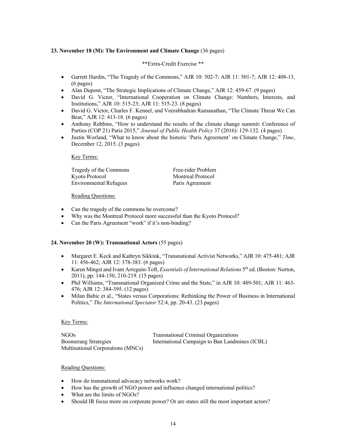## **23. November 18 (M): The Environment and Climate Change** (36 pages)

## \*\*Extra-Credit Exercise \*\*

- Garrett Hardin, "The Tragedy of the Commons," AJR 10: 502-7; AJR 11: 501-7; AJR 12: 408-13. (6 pages)
- Alan Dupont, "The Strategic Implications of Climate Change," AJR 12: 459-67. (9 pages)
- David G. Victor, "International Cooperation on Climate Change: Numbers, Interests, and Institutions," AJR 10: 515-23; AJR 11: 515-23. (8 pages)
- David G. Victor, Charles F. Kennel, and Veerabhadran Ramanathan, "The Climate Threat We Can Beat," AJR 12: 413-18. (6 pages)
- Anthony Robbins, "How to understand the results of the climate change summit: Conference of Parties (COP 21) Paris 2015," *Journal of Public Health Policy* 37 (2016): 129-132. (4 pages)
- Justin Worland, "What to know about the historic 'Paris Agreement' on Climate Change," *Time*, December 12, 2015. (3 pages)

#### Key Terms:

Tragedy of the Commons Free-rider Problem Kyoto Protocol Montreal Protocol Environmental Refugees Paris Agreement

#### Reading Questions:

- Can the tragedy of the commons be overcome?
- Why was the Montreal Protocol more successful than the Kyoto Protocol?
- Can the Paris Agreement "work" if it's non-binding?

#### **24. November 20 (W): Transnational Actors** (55 pages)

- Margaret E. Keck and Kathryn Sikkink, "Transnational Activist Networks," AJR 10: 475-481; AJR 11: 456-462; AJR 12: 378-383. (6 pages)
- Karen Mingst and Ivant Arreguin-Toft, *Essentials of International Relations* 5th ed. (Boston: Norton, 2011), pp. 144-150, 210-219. (15 pages)
- Phil Williams, "Transnational Organized Crime and the State," in AJR 10: 489-501; AJR 11: 463- 476; AJR 12: 384-395. (12 pages)
- Milan Babic et al., "States versus Corporations: Rethinking the Power of Business in International Politics," *The International Spectator* 52:4, pp. 20-43. (23 pages)

#### Key Terms:

NGOs Transnational Criminal Organizations Boomerang Strategies International Campaign to Ban Landmines (ICBL) Multinational Corporations (MNCs)

- How do transnational advocacy networks work?
- How has the growth of NGO power and influence changed international politics?
- What are the limits of NGOs?
- Should IR focus more on corporate power? Or are states still the most important actors?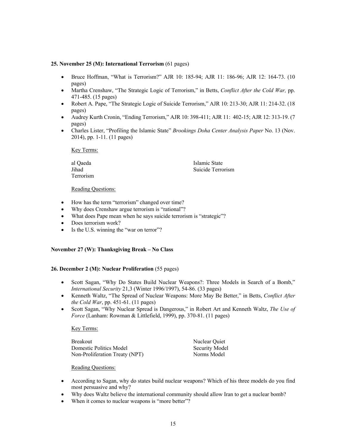## **25. November 25 (M): International Terrorism** (61 pages)

- Bruce Hoffman, "What is Terrorism?" AJR 10: 185-94; AJR 11: 186-96; AJR 12: 164-73. (10 pages)
- Martha Crenshaw, "The Strategic Logic of Terrorism," in Betts, *Conflict After the Cold War,* pp. 471-485. (15 pages)
- Robert A. Pape, "The Strategic Logic of Suicide Terrorism," AJR 10: 213-30; AJR 11: 214-32. (18 pages)
- Audrey Kurth Cronin, "Ending Terrorism," AJR 10: 398-411; AJR 11: 402-15; AJR 12: 313-19. (7 pages)
- Charles Lister, "Profiling the Islamic State" *Brookings Doha Center Analysis Paper* No. 13 (Nov. 2014), pp. 1-11. (11 pages)

Key Terms:

| al Qaeda  | Islamic State     |
|-----------|-------------------|
| Jihad     | Suicide Terrorism |
| Terrorism |                   |

#### Reading Questions:

- How has the term "terrorism" changed over time?
- Why does Crenshaw argue terrorism is "rational"?
- What does Pape mean when he says suicide terrorism is "strategic"?
- Does terrorism work?
- Is the U.S. winning the "war on terror"?

#### **November 27 (W): Thanksgiving Break – No Class**

#### **26. December 2 (M): Nuclear Proliferation** (55 pages)

- Scott Sagan, "Why Do States Build Nuclear Weapons?: Three Models in Search of a Bomb," *International Security* 21,3 (Winter 1996/1997), 54-86. (33 pages)
- Kenneth Waltz, "The Spread of Nuclear Weapons: More May Be Better," in Betts, *Conflict After the Cold War*, pp. 451-61. (11 pages)
- Scott Sagan, "Why Nuclear Spread is Dangerous," in Robert Art and Kenneth Waltz, *The Use of Force* (Lanham: Rowman & Littlefield, 1999), pp. 370-81. (11 pages)

#### Key Terms:

Breakout Nuclear Quiet Domestic Politics Model Security Model Non-Proliferation Treaty (NPT) Norms Model

- According to Sagan, why do states build nuclear weapons? Which of his three models do you find most persuasive and why?
- Why does Waltz believe the international community should allow Iran to get a nuclear bomb?
- When it comes to nuclear weapons is "more better"?